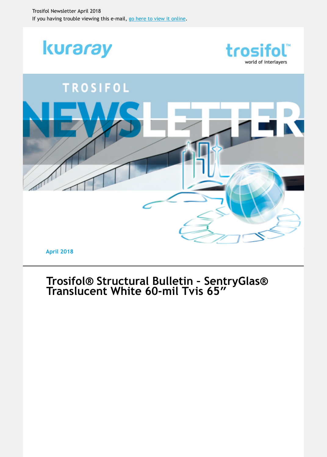

**April 2018**

# **[Trosifol® Structural Bulletin – SentryGlas®](https://login.mailingwork.de/-link2/7876/2687/33/269/11/NpxhB1eR/bhK5iYao93/0) Translucent White 60-mil Tvis 65ʺ**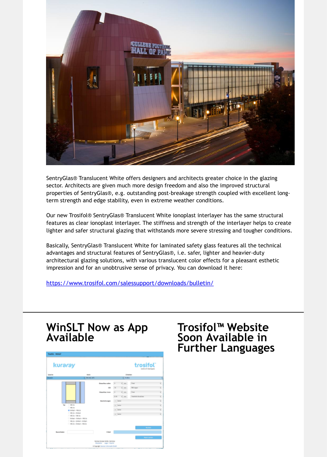

SentryGlas® Translucent White offers designers and architects greater choice in the glazing sector. Architects are given much more design freedom and also the improved structural properties of SentryGlas®, e.g. outstanding post-breakage strength coupled with excellent longterm strength and edge stability, even in extreme weather conditions.

Our new Trosifol® SentryGlas® Translucent White ionoplast interlayer has the same structural features as clear ionoplast interlayer. The stiffness and strength of the interlayer helps to crea lighter and safer structural glazing that withstands more severe stressing and tougher condition

Basically, SentryGlas® Translucent White for laminated safety glass features all the technical advantages and structural features of SentryGlas®, i.e. safer, lighter and heavier-duty architectural glazing solutions, with various translucent color effects for a pleasant esthetic impression and for an unobtrusive sense of privacy. You can download it here:

https://www.trosifol.com/salessupport/downloads/bulletin/

# **WinSLT Now as App Available**

| kuraray                     | trosifol<br>works of exertainty.                                |                           |          |               |                     |                         |               |  |
|-----------------------------|-----------------------------------------------------------------|---------------------------|----------|---------------|---------------------|-------------------------|---------------|--|
| Sprache<br><b>Installer</b> | <b>Horse</b><br>1.114.01                                        |                           |          |               | Estates<br>4 9 P.A. |                         |               |  |
|                             |                                                                 | <b>Greatfree subm</b>     |          |               | $1 -$               | <b>First</b>            | F,            |  |
|                             |                                                                 | <b>GR</b>                 | $\sim$   |               | $1 - m$             | NH Jogen                |               |  |
|                             |                                                                 | <b>Steadhartown</b>       | ٠        |               | <b>Security</b>     | Ties                    | i.            |  |
|                             |                                                                 |                           | 10.00    |               | 3 mm                | Teachers (In real lever | ij            |  |
|                             |                                                                 | <b>Amultitude Lungers</b> | 1 letter |               |                     |                         | $\frac{1}{2}$ |  |
| CT WAS BY<br>Test           |                                                                 |                           |          |               | <b>Taking</b>       |                         |               |  |
| C WHI N                     | @ Enriquit - Vitat Inc.                                         |                           |          | <b>Taking</b> |                     |                         |               |  |
|                             | C. Will be a Berlin-A                                           |                           |          | <b>STATE</b>  |                     |                         | ij            |  |
|                             | 12. While the 1. Mid- Inc.                                      |                           |          |               |                     |                         |               |  |
|                             | C. Bishalt - Bishady / 1980 Ex-<br>THREE IS . EDITALS . EDITALS |                           |          |               |                     |                         |               |  |
|                             | TWO In a Detach a Hid-On                                        |                           |          |               |                     |                         |               |  |
|                             |                                                                 |                           |          |               |                     | <b>Burnie</b>           |               |  |
| Bearinhalen                 |                                                                 | Ermell                    |          |               |                     |                         |               |  |
|                             |                                                                 |                           |          |               |                     |                         |               |  |

### **Trosifol™ Website Soon Available in Further Languages**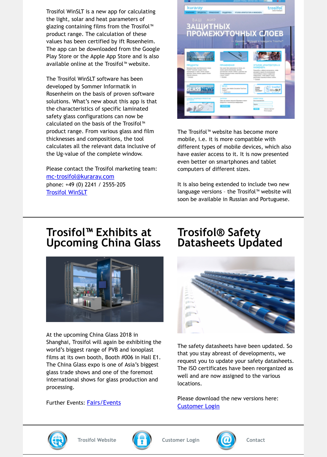developed by Sommer Informatik in Rosenheim on the basis of proven software solutions. What's new about this app is that the characteristics of specific laminated safety glass configurations can now be calculated on the basis of the Trosifol™ product range. From various glass and film thicknesses and compositions, the tool calculates all the relevant data inclusive of the Ug-value of the complete window.

Please contact the Trosifol marketing team: mc-trosifol@kuraray.com phone: +49 (0) 2241 / 2555-205 Trosifol WinSLT

|       | <b>Catculation Ties</b><br>$-1$<br>man 1    |                                |
|-------|---------------------------------------------|--------------------------------|
| ----- | $\sim$<br>---<br>In the American relatively | <b>ARTICLES</b><br><b>STAR</b> |

The Trosifol™ website has become more mobile, i.e. it is more compatible with different types of mobile devices, which also have easier access to it. It is now presented even better on smartphones and tablet computers of different sizes.

It is also being extended to include two nev language versions - the Trosifol<sup> $M$ </sup> website w soon be available in Russian and Portuguese

### **Trosifol™ Exhibits at Upcoming China Glass**



At the upcoming China Glass 2018 in Shanghai, Trosifol will again be exhibiting the world's biggest range of PVB and ionoplast [films at its own booth, Booth #006 in Hall E1.](https://login.mailingwork.de/-link2/7876/2687/19/281/11/NpxhB1eR/bhK5iYao93/0) The China Glass expo is one of Asia's biggest glass trade shows and one of the foremost international shows for glass production and processing.

Further Events: **Fairs/Events** 

### **Trosifol® Safety Datasheets Updated**



The safety datasheets have been updated. that you stay abreast of developments, we request you to update your safety datashee The ISO certificates have been reorganized well and are now assigned to the various locations.

Please download the new versions here: Customer Login



**Trosifol Website Customer Login Contact**